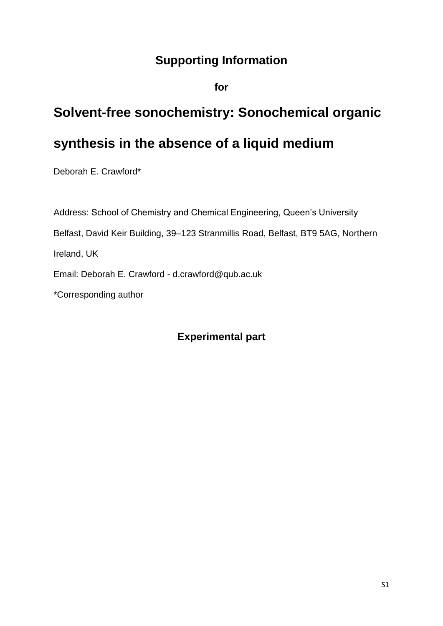### **Supporting Information**

**for**

# **Solvent-free sonochemistry: Sonochemical organic**

## **synthesis in the absence of a liquid medium**

Deborah E. Crawford\*

Address: School of Chemistry and Chemical Engineering, Queen's University Belfast, David Keir Building, 39–123 Stranmillis Road, Belfast, BT9 5AG, Northern Ireland, UK Email: Deborah E. Crawford - d.crawford@qub.ac.uk \*Corresponding author

**Experimental part**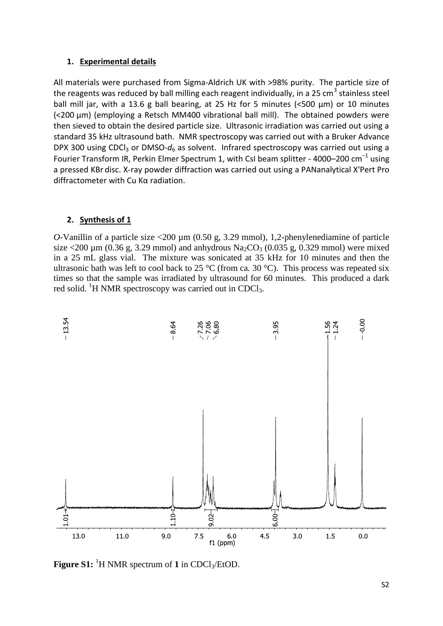#### **1. Experimental details**

All materials were purchased from Sigma-Aldrich UK with >98% purity. The particle size of the reagents was reduced by ball milling each reagent individually, in a 25 cm<sup>3</sup> stainless steel ball mill jar, with a 13.6 g ball bearing, at 25 Hz for 5 minutes (<500 µm) or 10 minutes (<200 µm) (employing a Retsch MM400 vibrational ball mill). The obtained powders were then sieved to obtain the desired particle size. Ultrasonic irradiation was carried out using a standard 35 kHz ultrasound bath. NMR spectroscopy was carried out with a Bruker Advance DPX 300 using CDCl<sub>3</sub> or DMSO- $d_6$  as solvent. Infrared spectroscopy was carried out using a Fourier Transform IR, Perkin Elmer Spectrum 1, with CsI beam splitter - 4000–200 cm<sup>-1</sup> using a pressed KBr disc. X-ray powder diffraction was carried out using a PANanalytical X'Pert Pro diffractometer with Cu Kα radiation.

### **2. Synthesis of 1**

*O*-Vanillin of a particle size <200 µm (0.50 g, 3.29 mmol), 1.2-phenylenediamine of particle size  $\langle 200 \ \mu m (0.36 \ g, 3.29 \ mm)$  and anhydrous Na<sub>2</sub>CO<sub>3</sub> (0.035 g, 0.329 mmol) were mixed in a 25 mL glass vial. The mixture was sonicated at 35 kHz for 10 minutes and then the ultrasonic bath was left to cool back to 25 °C (from ca*.* 30 °C). This process was repeated six times so that the sample was irradiated by ultrasound for 60 minutes. This produced a dark red solid. <sup>1</sup>H NMR spectroscopy was carried out in CDCl<sub>3</sub>.



**Figure S1:**  ${}^{1}$ H NMR spectrum of 1 in CDCl<sub>3</sub>/EtOD.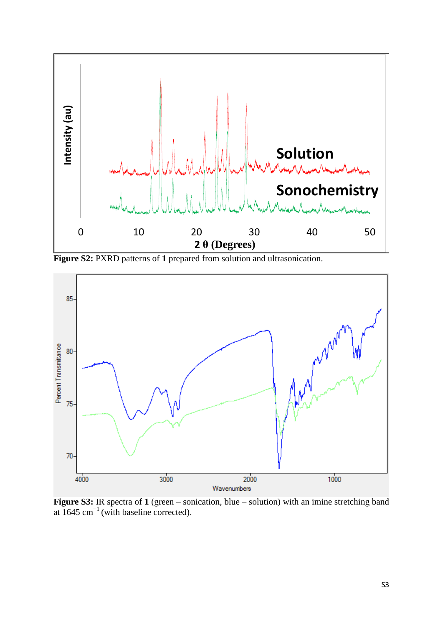

**Figure S2:** PXRD patterns of **1** prepared from solution and ultrasonication.



**Figure S3:** IR spectra of **1** (green – sonication, blue – solution) with an imine stretching band at 1645 cm−1 (with baseline corrected).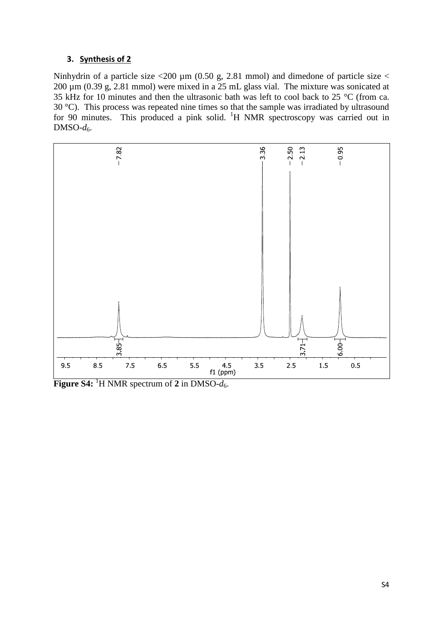#### **3. Synthesis of 2**

Ninhydrin of a particle size  $\langle 200 \mu m (0.50 \text{ g}, 2.81 \text{ mmol})$  and dimedone of particle size  $\langle$ 200 µm (0.39 g, 2.81 mmol) were mixed in a 25 mL glass vial. The mixture was sonicated at 35 kHz for 10 minutes and then the ultrasonic bath was left to cool back to 25 °C (from ca. 30 °C). This process was repeated nine times so that the sample was irradiated by ultrasound for 90 minutes. This produced a pink solid. <sup>1</sup>H NMR spectroscopy was carried out in DMSO- $d_6$ .



**Figure S4:** <sup>1</sup>H NMR spectrum of 2 in DMSO- $d_6$ .